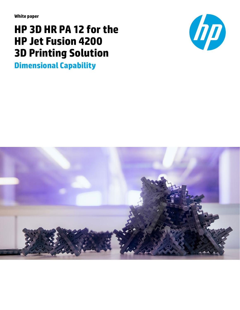**White paper**

# **HP 3D HR PA 12 for the HP Jet Fusion 4200 3D Printing Solution**

**Dimensional Capability**



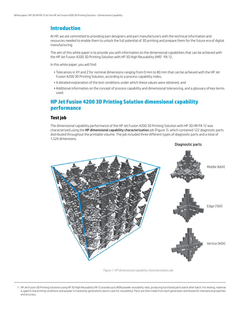## **Introduction**

At HP, we are committed to providing part designers and part manufacturers with the technical information and resources needed to enable them to unlock the full potential of 3D printing and prepare them for the future era of digital manufacturing.

The aim of this white paper is to provide you with information on the dimensional capabilities that can be achieved with the HP Jet Fusion 4200 3D Printing Solution with HP 3D High Reusability (HR)1 PA 12.

In this white paper, you will find:

- Tolerances in XY and Z for nominal dimensions ranging from 0 mm to 80 mm that can be achieved with the HP Jet Fusion 4200 3D Printing Solution, according to a process capability index,
- A detailed explanation of the test conditions under which these values were obtained, and
- Additional information on the concept of process capability and dimensional tolerancing, and a glossary of key terms used.

## **HP Jet Fusion 4200 3D Printing Solution dimensional capability performance**

### **Test job**

The dimensional capability performance of the HP Jet Fusion 4200 3D Printing Solution with HP 3D HR PA 12 was characterized using the HP dimensional capability characterization job (Figure 1), which contained 122 diagnostic parts distributed throughout the printable volume. The job included three different types of diagnostic parts and a total of 1,524 dimensions.



*Figure 1. HP dimensional capability characterization job*

<sup>1.</sup> HP Jet Fusion 3D Printing Solutions using HP 3D High Reusability PA 12 provide up to 80% powder reusability ratio, producing functional parts batch after batch. For testing, material is aged in real printing conditions and powder is tracked by generations (worst case for reusability). Parts are then made from each generation and tested for mechanical properties and accuracy.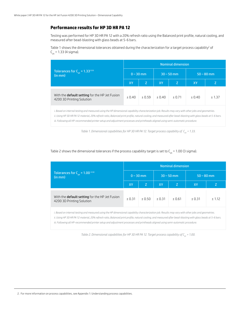## **Performance results for HP 3D HR PA 12**

Testing was performed for HP 3D HR PA 12 with a 20% refresh ratio using the Balanced print profile, natural cooling, and measured after bead-blasting with glass beads at 5-6 bars.

Table 1 shows the dimensional tolerances obtained during the characterization for a target process capability<sup>2</sup> of  $C_{nk} = 1.33$  (4 sigma).

|                                                                             | <b>Nominal dimension</b> |             |        |              |              |         |  |  |  |  |  |  |
|-----------------------------------------------------------------------------|--------------------------|-------------|--------|--------------|--------------|---------|--|--|--|--|--|--|
| Tolerances for $C_{pk} = 1.33^{\text{ii iii}}$<br>(in mm)                   |                          | $0 - 30$ mm |        | $30 - 50$ mm | $50 - 80$ mm |         |  |  |  |  |  |  |
|                                                                             | XY                       | Z           | XY.    | Z.           | XY           |         |  |  |  |  |  |  |
| With the default setting for the HP Jet Fusion<br>4200 3D Printing Solution | ± 0.40                   | ± 0.59      | ± 0.40 | ± 0.71       | ± 0.40       | $+1.37$ |  |  |  |  |  |  |

*i. Based on internal testing and measured using the HP dimensional capability characterization job. Results may vary with other jobs and geometries. ii. Using HP 3D HR PA 12 material, 20% refresh ratio, Balanced print profile, natural cooling, and measured after bead-blasting with glass beads at 5-6 bars. iii. Following all HP-recommended printer setup and adjustment processes and printheads aligned using semi-automatic procedure.*

|                                                                             | <b>Nominal dimension</b> |             |        |              |              |        |  |  |  |  |  |
|-----------------------------------------------------------------------------|--------------------------|-------------|--------|--------------|--------------|--------|--|--|--|--|--|
| Tolerances for $C_{nk} = 1.00$ iiiiii<br>(in mm)                            |                          | $0 - 30$ mm |        | $30 - 50$ mm | $50 - 80$ mm |        |  |  |  |  |  |
|                                                                             | <b>XY</b>                | Z           | XY     | Z            | XY           | Z      |  |  |  |  |  |
| With the default setting for the HP Jet Fusion<br>4200 3D Printing Solution | ± 0.31                   | $+0.50$     | ± 0.31 | ± 0.61       | ± 0.31       | ± 1.12 |  |  |  |  |  |

#### Table 2 shows the dimensional tolerances if the process capability target is set to  $C_{nk}$  = 1.00 (3 sigma).

*i. Based on internal testing and measured using the HP dimensional capability characterization job. Results may vary with other jobs and geometries.*

*ii. Using HP 3D HR PA 12 material, 20% refresh ratio, Balanced print profile, natural cooling, and measured after bead-blasting with glass beads at 5-6 bars.*

*iii. Following all HP-recommended printer setup and adjustment processes and printheads aligned using semi-automatic procedure.*

*Table 2. Dimensional capabilities for HP 3D HR PA 12. Target process capability of*  $C_{nk}$  *= 1.00.* 

*Table 1. Dimensional capabilities for HP 3D HR PA 12. Target process capability of C<sub>pk</sub> = 1.33.*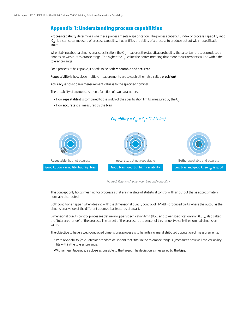## **Appendix 1: Understanding process capabilities**

Process capability determines whether a process meets a specification. The process capability index or process capability ratio  $(C_{nk})$  is a statistical measure of process capability. It quantifies the ability of a process to produce output within specification limits.

When talking about a dimensional specification, the  $C_{pk}$  measures the statistical probability that a certain process produces a dimension within its tolerance range. The higher the  $C_{nk}^k$  value the better, meaning that more measurements will be within the tolerance range.

For a process to be capable, it needs to be both repeatable and accurate.

Repeatability is how close multiple measurements are to each other (also called precision).

Accuracy is how close a measurement value is to the specified nominal.

The capability of a process is then a function of two parameters:

- How repeatable it is compared to the width of the specification limits, measured by the C<sub>n</sub>
- How accurate it is, measured by the bias



*Capability =*  $C_{pk} = C_p * (1 - 2 * bias)$ 

*Figure 2. Relationship between bias and variability*

This concept only holds meaning for processes that are in a state of statistical control with an output that is approximately normally distributed.

Both conditions happen when dealing with the dimensional quality control of HP MJF–produced parts where the output is the dimensional value of the different geometrical features of a part.

Dimensional quality control processes define an upper specification limit (USL) and lower specification limit (LSL), also called the "tolerance range" of the process. The target of the process is the center of this range, typically the nominal dimension value.

The objective to have a well-controlled dimensional process is to have its normal distributed population of measurements:

- $\bullet$  With a variability (calculated as standard deviation) that "fits" in the tolerance range.  ${\sf C_p}$  measures how well the variability fits within the tolerance range.
- •With a mean (average) as close as possible to the target. The deviation is measured by the bias.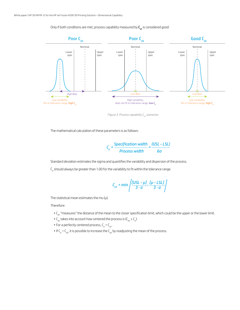Only if both conditions are met, process capability measured by  $C_{pk}$  is considered good:



*Figure 3. Process capability C<sub>pk</sub> scenarios* 

The mathematical calculation of these parameters is as follows:

$$
C_p = \frac{Specification width}{Process width} = \frac{(USL - LSL)}{6\sigma}
$$

Standard deviation estimates the sigma and quantifies the variability and dispersion of the process.

 $\mathsf{C}_\mathsf{p}$  should always be greater than 1.00 for the variability to fit within the tolerance range.

$$
C_{pk} = min\left\{\frac{[USL - \mu J]}{3 \cdot \sigma}, \frac{[\mu - LSL]}{3 \cdot \sigma}\right\}
$$

The statistical mean estimates the mu  $(\mu)$ .

Therefore:

- C<sub>pk</sub> "measures" the distance of the mean to the closer specification limit, which could be the upper or the lower limit.
- $C_{\rm pk}$  takes into account how centered the process is ( $C_{\rm pk} \le C_{\rm pb}$ ).
- For a perfectly centered process,  $C_p = C_{pk}$ .
- $\bullet$  If C<sub>p</sub> > C<sub>pk</sub>, it is possible to increase the C<sub>pk</sub> by readjusting the mean of the process.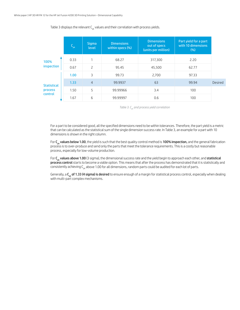|                    | $\mathsf{C}_{_{\sf pk}}$ | <b>Sigma</b><br><b>level</b> | <b>Dimensions</b><br>within specs (%) | <b>Dimensions</b><br>out of specs<br>(units per million) | Part yield for a part<br>with 10 dimensions<br>(%) |         |
|--------------------|--------------------------|------------------------------|---------------------------------------|----------------------------------------------------------|----------------------------------------------------|---------|
| 100%<br>inspection | 0.33                     | 1                            | 68.27                                 | 317,300                                                  | 2.20                                               |         |
|                    | 0.67                     | $\overline{c}$               | 95.45                                 | 45,500                                                   | 62.77                                              |         |
|                    | 1.00                     | 3                            | 99.73                                 | 2,700                                                    | 97.33                                              |         |
| <b>Statistical</b> | 1.33                     | $\overline{4}$               | 99.9937                               | 63                                                       | 99.94                                              | Desired |
| process<br>control | 1.50                     | 5                            | 99.99966                              | 3.4                                                      | 100                                                |         |
|                    | 1.67                     | 6                            | 99.99997                              | 0.6                                                      | 100                                                |         |

Table 3 displays the relevant  $C_{nk}$  values and their correlation with process yields.

Table 3. C<sub>pk</sub> and process yield correlation

For a part to be considered good, all the specified dimensions need to be within tolerances. Therefore, the part yield is a metric that can be calculated as the statistical sum of the single dimension success rate. In Table 3, an example for a part with 10 dimensions is shown in the right column.

For C<sub>nk</sub> values below 1.00, the yield is such that the best quality control method is 100% inspection, and the general fabrication process is to over-produce and send only the parts that meet the tolerance requirements. This is a costly but reasonable process, especially for low-volume production.

For  $C_{pk}$  values above 1.00 (3 sigma), the dimensional success rate and the yield begin to approach each other, and statistical process control starts to become a viable option. This means that after the process has demonstrated that it is statistically and consistently achieving  $C_{nk}$  above 1.00 for all dimensions, random parts could be audited for each lot of parts.

Generally, a  $C_{pk}$  of 1.33 (4 sigma) is desired to ensure enough of a margin for statistical process control, especially when dealing with multi-part complex mechanisms.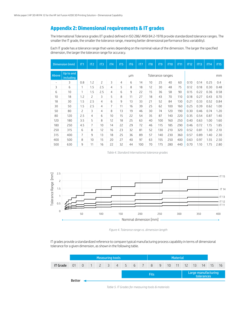## **Appendix 2: Dimensional requirements & IT grades**

The International Tolerance grades (IT grades) defined in ISO 286/ ANSI B4.2-1978 provide standardized tolerance ranges. The smaller the IT grade, the smaller the tolerance range, meaning better dimensional performance (less variability).

Each IT grade has a tolerance range that varies depending on the nominal value of the dimension. The larger the specified dimension, the larger the tolerance range for accuracy.

|                          | Dimension (mm)         | IT1            | IT <sub>2</sub> | IT <sub>3</sub> | <b>IT4</b>     | IT <sub>5</sub> | IT <sub>6</sub> | IT7 | IT <sub>8</sub> | IT <sub>9</sub>  | <b>IT10</b> | IT11 | <b>IT12</b> | <b>IT13</b> | <b>IT14</b> | <b>IT15</b> |
|--------------------------|------------------------|----------------|-----------------|-----------------|----------------|-----------------|-----------------|-----|-----------------|------------------|-------------|------|-------------|-------------|-------------|-------------|
| Above                    | Up to and<br>including |                |                 |                 |                |                 | μm              |     |                 | Tolerance ranges |             |      |             |             |             | mm          |
| $\overline{\phantom{0}}$ | 3                      | 0.8            | 1.2             | 2               | 3              | $\overline{4}$  | 6               | 14  | 10              | 25               | 40          | 60   | 0.10        | 0.14        | 0.25        | 0.4         |
| 3                        | 6                      | $\mathbf{1}$   | 1.5             | 2.5             | 4              | 5               | 8               | 18  | 12              | 30               | 48          | 75   | 0.12        | 0.18        | 0.30        | 0.48        |
| 6                        | 10                     | $\mathbf{1}$   | 1.5             | 2.5             | 4              | 6               | 9               | 22  | 15              | 36               | 58          | 90   | 0.15        | 0.22        | 0.36        | 0.58        |
| 10                       | 18                     | 1.2            | $\overline{z}$  | $\overline{3}$  | 5              | 8               | 11              | 27  | 18              | 43               | 70          | 110  | 0.18        | 0.27        | 0.43        | 0.70        |
| 18                       | 30                     | 1.5            | 2.5             | 4               | 6              | 9               | 13              | 33  | 21              | 52               | 84          | 130  | 0.21        | 0.33        | 0.52        | 0.84        |
| 30                       | 50                     | 1.5            | 2.5             | 4               | $\overline{7}$ | 11              | 16              | 39  | 25              | 62               | 100         | 160  | 0.25        | 0.39        | 0.62        | 1.00        |
| 50                       | 80                     | 2              | 3               | 4               | 8              | 13              | 19              | 46  | 30              | 74               | 120         | 190  | 0.30        | 0.46        | 0.74        | 1.20        |
| 80                       | 120                    | 2.5            | 4               | 6               | 10             | 15              | 22              | 54  | 35              | 87               | 140         | 220  | 0.35        | 0.54        | 0.87        | 1.40        |
| 120                      | 180                    | 3.5            | 5               | 8               | 12             | 18              | 25              | 63  | 40              | 100              | 160         | 250  | 0.40        | 0.63        | 1.00        | 1.60        |
| 180                      | 250                    | 4.5            | 7               | 10              | 14             | 22              | 29              | 72  | 46              | 115              | 185         | 290  | 0.46        | 0.72        | 1.15        | 1.85        |
| 250                      | 315                    | 6              | 8               | 12              | 16             | 23              | 32              | 81  | 52              | 130              | 210         | 320  | 0.52        | 0.81        | 1.30        | 2.10        |
| 315                      | 400                    | $\overline{7}$ | 9               | 13              | 18             | 25              | 36              | 89  | 57              | 140              | 230         | 360  | 0.57        | 0.89        | 1.40        | 2.30        |
| 400                      | 500                    | 8              | 10              | 15              | 20             | 27              | 40              | 97  | 63              | 155              | 250         | 400  | 0.63        | 0.97        | 1.55        | 2.50        |
| 500                      | 630                    | 9              | 11              | 16              | 22             | 32              | 44              | 100 | 70              | 175              | 280         | 440  | 0.70        | 1.10        | 1.75        | 2.80        |

*Table 4. Standard international tolerance grades*



*Figure 4. Tolerance range vs. dimension length* 

IT grades provide a standardized reference to compare typical manufacturing process capability in terms of dimensional tolerance for a given dimension, as shown in the following table.

|                 | Measuring tools                     |  |  |  |  |  |  |             |  |  | <b>Material</b> |  |  |  |  |                                   |       |      |  |
|-----------------|-------------------------------------|--|--|--|--|--|--|-------------|--|--|-----------------|--|--|--|--|-----------------------------------|-------|------|--|
| <b>IT Grade</b> | 0 1 0 1 2 3 4 5 6 7 8 9 10 11 12 13 |  |  |  |  |  |  |             |  |  |                 |  |  |  |  | 14                                | $-15$ | - 16 |  |
|                 |                                     |  |  |  |  |  |  | <b>Fits</b> |  |  |                 |  |  |  |  | Large manufacturing<br>tolerances |       |      |  |
|                 | Better                              |  |  |  |  |  |  |             |  |  |                 |  |  |  |  |                                   |       |      |  |

*Table 5. IT Grades for measuring tools & materials*